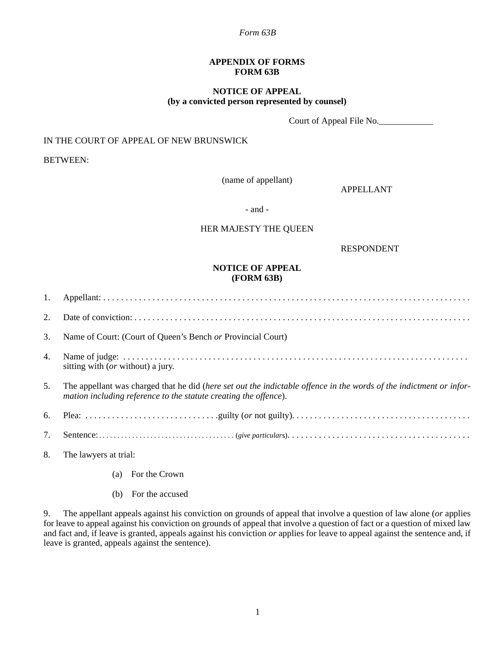#### *Form 63B*

### **APPENDIX OF FORMS FORM 63B**

## **NOTICE OF APPEAL (by a convicted person represented by counsel)**

Court of Appeal File No.

# IN THE COURT OF APPEAL OF NEW BRUNSWICK

BETWEEN:

(name of appellant)

APPELLANT

- and -

### HER MAJESTY THE QUEEN

RESPONDENT

## **NOTICE OF APPEAL (FORM 63B)**

| 2. |                                                                                                                                                                                         |
|----|-----------------------------------------------------------------------------------------------------------------------------------------------------------------------------------------|
| 3. | Name of Court: (Court of Queen's Bench or Provincial Court)                                                                                                                             |
| 4. | sitting with ( <i>or</i> without) a jury.                                                                                                                                               |
| 5. | The appellant was charged that he did (here set out the indictable offence in the words of the indictment or infor-<br>mation including reference to the statute creating the offence). |
|    |                                                                                                                                                                                         |
| 7. |                                                                                                                                                                                         |
| 8. | The lawyers at trial:                                                                                                                                                                   |

(a) For the Crown

(b) For the accused

9. The appellant appeals against his conviction on grounds of appeal that involve a question of law alone (*or* applies for leave to appeal against his conviction on grounds of appeal that involve a question of fact or a question of mixed law and fact and, if leave is granted, appeals against his conviction *or* applies for leave to appeal against the sentence and, if leave is granted, appeals against the sentence).